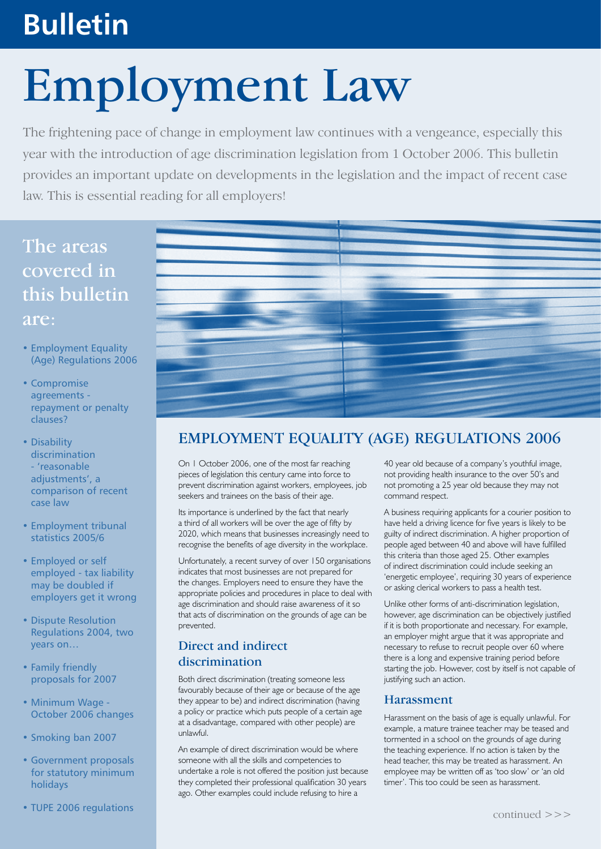# **Bulletin**

# Employment Law

The frightening pace of change in employment law continues with a vengeance, especially this year with the introduction of age discrimination legislation from 1 October 2006. This bulletin provides an important update on developments in the legislation and the impact of recent case law. This is essential reading for all employers!

# The areas covered in this bulletin are:

- Employment Equality (Age) Regulations 2006
- Compromise agreements repayment or penalty clauses?
- Disability discrimination - 'reasonable adjustments', a comparison of recent case law
- Employment tribunal statistics 2005/6
- Employed or self employed - tax liability may be doubled if employers get it wrong
- Dispute Resolution Regulations 2004, two years on…
- Family friendly proposals for 2007
- Minimum Wage -October 2006 changes
- Smoking ban 2007
- Government proposals for statutory minimum holidays
- TUPE 2006 regulations



# Employment equality (age) regulations 2006

On 1 October 2006, one of the most far reaching pieces of legislation this century came into force to prevent discrimination against workers, employees, job seekers and trainees on the basis of their age.

Its importance is underlined by the fact that nearly a third of all workers will be over the age of fifty by 2020, which means that businesses increasingly need to recognise the benefits of age diversity in the workplace.

Unfortunately, a recent survey of over 150 organisations indicates that most businesses are not prepared for the changes. Employers need to ensure they have the appropriate policies and procedures in place to deal with age discrimination and should raise awareness of it so that acts of discrimination on the grounds of age can be prevented.

#### Direct and indirect discrimination

Both direct discrimination (treating someone less favourably because of their age or because of the age they appear to be) and indirect discrimination (having a policy or practice which puts people of a certain age at a disadvantage, compared with other people) are unlawful.

An example of direct discrimination would be where someone with all the skills and competencies to undertake a role is not offered the position just because they completed their professional qualification 30 years ago. Other examples could include refusing to hire a

40 year old because of a company's youthful image, not providing health insurance to the over 50's and not promoting a 25 year old because they may not command respect.

A business requiring applicants for a courier position to have held a driving licence for five years is likely to be guilty of indirect discrimination. A higher proportion of people aged between 40 and above will have fulfilled this criteria than those aged 25. Other examples of indirect discrimination could include seeking an 'energetic employee', requiring 30 years of experience or asking clerical workers to pass a health test.

Unlike other forms of anti-discrimination legislation, however, age discrimination can be objectively justified if it is both proportionate and necessary. For example, an employer might argue that it was appropriate and necessary to refuse to recruit people over 60 where there is a long and expensive training period before starting the job. However, cost by itself is not capable of justifying such an action.

#### Harassment

Harassment on the basis of age is equally unlawful. For example, a mature trainee teacher may be teased and tormented in a school on the grounds of age during the teaching experience. If no action is taken by the head teacher, this may be treated as harassment. An employee may be written off as 'too slow' or 'an old timer'. This too could be seen as harassment.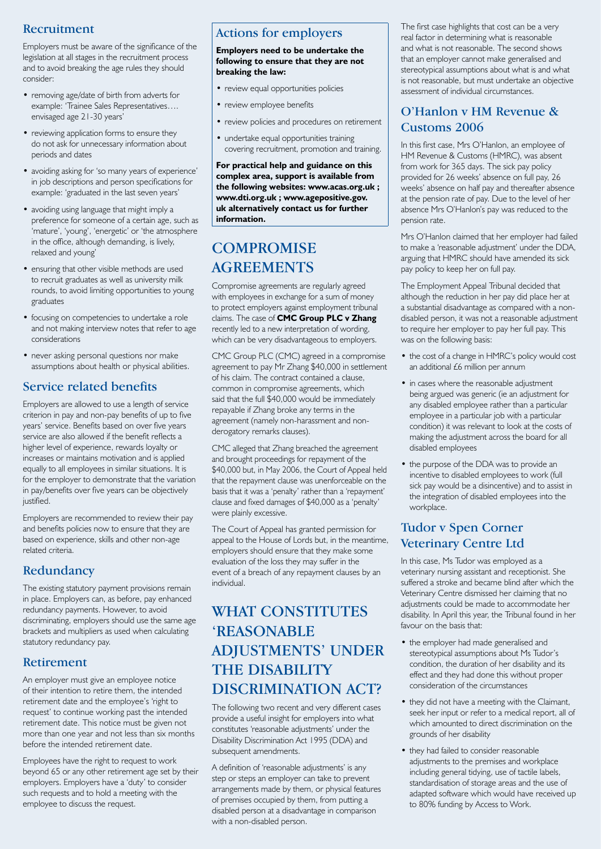#### Recruitment

Employers must be aware of the significance of the legislation at all stages in the recruitment process and to avoid breaking the age rules they should consider:

- removing age/date of birth from adverts for example: 'Trainee Sales Representatives…. envisaged age 21-30 years'
- reviewing application forms to ensure they do not ask for unnecessary information about periods and dates
- avoiding asking for 'so many years of experience' in job descriptions and person specifications for example: 'graduated in the last seven years'
- avoiding using language that might imply a preference for someone of a certain age, such as 'mature', 'young', 'energetic' or 'the atmosphere in the office, although demanding, is lively, relaxed and young'
- ensuring that other visible methods are used to recruit graduates as well as university milk rounds, to avoid limiting opportunities to young graduates
- focusing on competencies to undertake a role and not making interview notes that refer to age considerations
- never asking personal questions nor make assumptions about health or physical abilities.

#### Service related benefits

Employers are allowed to use a length of service criterion in pay and non-pay benefits of up to five years' service. Benefits based on over five years service are also allowed if the benefit reflects a higher level of experience, rewards loyalty or increases or maintains motivation and is applied equally to all employees in similar situations. It is for the employer to demonstrate that the variation in pay/benefits over five years can be objectively justified.

Employers are recommended to review their pay and benefits policies now to ensure that they are based on experience, skills and other non-age related criteria.

#### **Redundancy**

The existing statutory payment provisions remain in place. Employers can, as before, pay enhanced redundancy payments. However, to avoid discriminating, employers should use the same age brackets and multipliers as used when calculating statutory redundancy pay.

#### Retirement

An employer must give an employee notice of their intention to retire them, the intended retirement date and the employee's 'right to request' to continue working past the intended retirement date. This notice must be given not more than one year and not less than six months before the intended retirement date.

Employees have the right to request to work beyond 65 or any other retirement age set by their employers. Employers have a 'duty' to consider such requests and to hold a meeting with the employee to discuss the request.

#### Actions for employers

#### **Employers need to be undertake the following to ensure that they are not breaking the law:**

- review equal opportunities policies
- review employee benefits
- review policies and procedures on retirement
- undertake equal opportunities training covering recruitment, promotion and training.

**For practical help and guidance on this complex area, support is available from the following websites: www.acas.org.uk ; www.dti.org.uk ; www.agepositive.gov. uk alternatively contact us for further information.**

# **COMPROMISE AGREEMENTS**

Compromise agreements are regularly agreed with employees in exchange for a sum of money to protect employers against employment tribunal claims. The case of **CMC Group PLC v Zhang** recently led to a new interpretation of wording, which can be very disadvantageous to employers.

CMC Group PLC (CMC) agreed in a compromise agreement to pay Mr Zhang \$40,000 in settlement of his claim. The contract contained a clause, common in compromise agreements, which said that the full \$40,000 would be immediately repayable if Zhang broke any terms in the agreement (namely non-harassment and nonderogatory remarks clauses).

CMC alleged that Zhang breached the agreement and brought proceedings for repayment of the \$40,000 but, in May 2006, the Court of Appeal held that the repayment clause was unenforceable on the basis that it was a 'penalty' rather than a 'repayment' clause and fixed damages of \$40,000 as a 'penalty' were plainly excessive.

The Court of Appeal has granted permission for appeal to the House of Lords but, in the meantime, employers should ensure that they make some evaluation of the loss they may suffer in the event of a breach of any repayment clauses by an individual.

# WHAT CONSTITUTES 'REASONABLE ADJUSTMENTS' UNDER THE DISABILITY DISCRIMINATION ACT?

The following two recent and very different cases provide a useful insight for employers into what constitutes 'reasonable adjustments' under the Disability Discrimination Act 1995 (DDA) and subsequent amendments.

A definition of 'reasonable adjustments' is any step or steps an employer can take to prevent arrangements made by them, or physical features of premises occupied by them, from putting a disabled person at a disadvantage in comparison with a non-disabled person.

The first case highlights that cost can be a very real factor in determining what is reasonable and what is not reasonable. The second shows that an employer cannot make generalised and stereotypical assumptions about what is and what is not reasonable, but must undertake an objective assessment of individual circumstances.

#### O'Hanlon v HM Revenue & Customs 2006

In this first case, Mrs O'Hanlon, an employee of HM Revenue & Customs (HMRC), was absent from work for 365 days. The sick pay policy provided for 26 weeks' absence on full pay, 26 weeks' absence on half pay and thereafter absence at the pension rate of pay. Due to the level of her absence Mrs O'Hanlon's pay was reduced to the pension rate.

Mrs O'Hanlon claimed that her employer had failed to make a 'reasonable adjustment' under the DDA, arguing that HMRC should have amended its sick pay policy to keep her on full pay.

The Employment Appeal Tribunal decided that although the reduction in her pay did place her at a substantial disadvantage as compared with a nondisabled person, it was not a reasonable adjustment to require her employer to pay her full pay. This was on the following basis:

- the cost of a change in HMRC's policy would cost an additional £6 million per annum
- in cases where the reasonable adjustment being argued was generic (ie an adjustment for any disabled employee rather than a particular employee in a particular job with a particular condition) it was relevant to look at the costs of making the adjustment across the board for all disabled employees
- the purpose of the DDA was to provide an incentive to disabled employees to work (full sick pay would be a disincentive) and to assist in the integration of disabled employees into the workplace.

#### Tudor v Spen Corner Veterinary Centre Ltd

In this case, Ms Tudor was employed as a veterinary nursing assistant and receptionist. She suffered a stroke and became blind after which the Veterinary Centre dismissed her claiming that no adjustments could be made to accommodate her disability. In April this year, the Tribunal found in her favour on the basis that:

- the employer had made generalised and stereotypical assumptions about Ms Tudor's condition, the duration of her disability and its effect and they had done this without proper consideration of the circumstances
- they did not have a meeting with the Claimant, seek her input or refer to a medical report, all of which amounted to direct discrimination on the grounds of her disability
- they had failed to consider reasonable adjustments to the premises and workplace including general tidying, use of tactile labels, standardisation of storage areas and the use of adapted software which would have received up to 80% funding by Access to Work.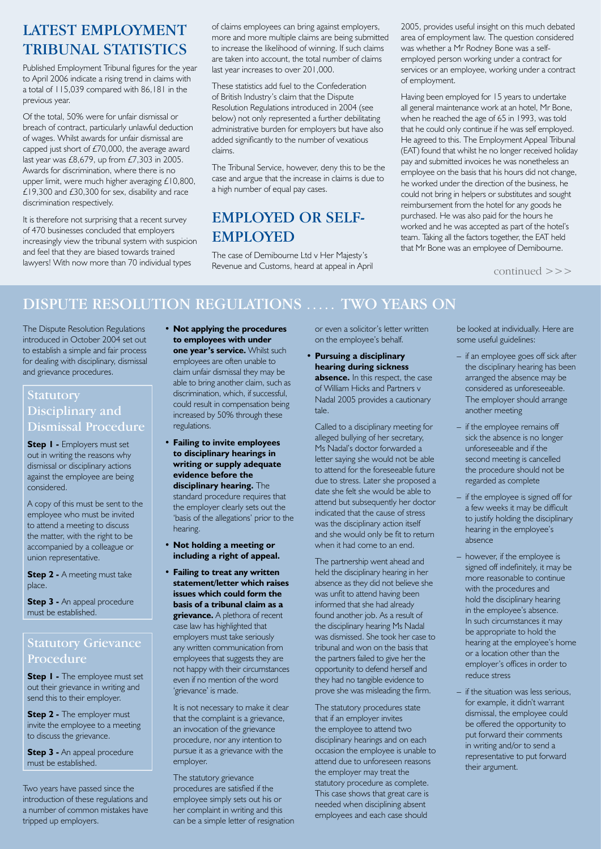# LATEST EMPLOYMENT TRIBUNAL STATISTICS

Published Employment Tribunal figures for the year to April 2006 indicate a rising trend in claims with a total of 115,039 compared with 86,181 in the previous year.

Of the total, 50% were for unfair dismissal or breach of contract, particularly unlawful deduction of wages. Whilst awards for unfair dismissal are capped just short of £70,000, the average award last year was £8,679, up from £7,303 in 2005. Awards for discrimination, where there is no upper limit, were much higher averaging £10,800, £19,300 and £30,300 for sex, disability and race discrimination respectively.

It is therefore not surprising that a recent survey of 470 businesses concluded that employers increasingly view the tribunal system with suspicion and feel that they are biased towards trained lawyers! With now more than 70 individual types

of claims employees can bring against employers, more and more multiple claims are being submitted to increase the likelihood of winning. If such claims are taken into account, the total number of claims last year increases to over 201,000.

These statistics add fuel to the Confederation of British Industry's claim that the Dispute Resolution Regulations introduced in 2004 (see below) not only represented a further debilitating administrative burden for employers but have also added significantly to the number of vexatious claims.

The Tribunal Service, however, deny this to be the case and argue that the increase in claims is due to a high number of equal pay cases.

## EMPLOYED OR SELF-EMPLOYED

The case of Demibourne Ltd v Her Majesty's Revenue and Customs, heard at appeal in April 2005, provides useful insight on this much debated area of employment law. The question considered was whether a Mr Rodney Bone was a selfemployed person working under a contract for services or an employee, working under a contract of employment.

Having been employed for 15 years to undertake all general maintenance work at an hotel, Mr Bone, when he reached the age of 65 in 1993, was told that he could only continue if he was self employed. He agreed to this. The Employment Appeal Tribunal (EAT) found that whilst he no longer received holiday pay and submitted invoices he was nonetheless an employee on the basis that his hours did not change, he worked under the direction of the business, he could not bring in helpers or substitutes and sought reimbursement from the hotel for any goods he purchased. He was also paid for the hours he worked and he was accepted as part of the hotel's team. Taking all the factors together, the EAT held that Mr Bone was an employee of Demibourne.

continued >>>

# DISPUTE RESOLUTION REGULATIONS ..... TWO YEARS ON

The Dispute Resolution Regulations introduced in October 2004 set out to establish a simple and fair process for dealing with disciplinary, dismissal and grievance procedures.

#### Statutory Disciplinary and Dismissal Procedure

**Step I - Employers must set** out in writing the reasons why dismissal or disciplinary actions against the employee are being considered.

A copy of this must be sent to the employee who must be invited to attend a meeting to discuss the matter, with the right to be accompanied by a colleague or union representative.

**Step 2 - A meeting must take** place.

**Step 3 - An appeal procedure** must be established.

#### Statutory Grievance Procedure

**Step I - The employee must set** out their grievance in writing and send this to their employer.

**Step 2 - The employer must** invite the employee to a meeting to discuss the grievance.

**Step 3 - An appeal procedure** must be established.

Two years have passed since the introduction of these regulations and a number of common mistakes have tripped up employers.

- **Not applying the procedures • to employees with under one year's service.** Whilst such employees are often unable to claim unfair dismissal they may be able to bring another claim, such as discrimination, which, if successful, could result in compensation being increased by 50% through these regulations.
- **Failing to invite employees • to disciplinary hearings in writing or supply adequate evidence before the disciplinary hearing.** The standard procedure requires that the employer clearly sets out the 'basis of the allegations' prior to the hearing.
- **Not holding a meeting or • including a right of appeal.**
- **Failing to treat any written • statement/letter which raises issues which could form the basis of a tribunal claim as a grievance.** A plethora of recent case law has highlighted that employers must take seriously any written communication from employees that suggests they are not happy with their circumstances even if no mention of the word 'grievance' is made.

It is not necessary to make it clear that the complaint is a grievance, an invocation of the grievance procedure, nor any intention to pursue it as a grievance with the employer.

The statutory grievance procedures are satisfied if the employee simply sets out his or her complaint in writing and this can be a simple letter of resignation or even a solicitor's letter written on the employee's behalf.

**Pursuing a disciplinary • hearing during sickness absence.** In this respect, the case of William Hicks and Partners v Nadal 2005 provides a cautionary tale.

Called to a disciplinary meeting for alleged bullying of her secretary, Ms Nadal's doctor forwarded a letter saying she would not be able to attend for the foreseeable future due to stress. Later she proposed a date she felt she would be able to attend but subsequently her doctor indicated that the cause of stress was the disciplinary action itself and she would only be fit to return when it had come to an end.

The partnership went ahead and held the disciplinary hearing in her absence as they did not believe she was unfit to attend having been informed that she had already found another job. As a result of the disciplinary hearing Ms Nadal was dismissed. She took her case to tribunal and won on the basis that the partners failed to give her the opportunity to defend herself and they had no tangible evidence to prove she was misleading the firm.

The statutory procedures state that if an employer invites the employee to attend two disciplinary hearings and on each occasion the employee is unable to attend due to unforeseen reasons the employer may treat the statutory procedure as complete. This case shows that great care is needed when disciplining absent employees and each case should

be looked at individually. Here are some useful guidelines:

- if an employee goes off sick after the disciplinary hearing has been arranged the absence may be considered as unforeseeable. The employer should arrange another meeting
- $-$  if the employee remains off sick the absence is no longer unforeseeable and if the second meeting is cancelled the procedure should not be regarded as complete
- if the employee is signed off for a few weeks it may be difficult to justify holding the disciplinary hearing in the employee's absence –
- however, if the employee is signed off indefinitely, it may be more reasonable to continue with the procedures and hold the disciplinary hearing in the employee's absence. In such circumstances it may be appropriate to hold the hearing at the employee's home or a location other than the employer's offices in order to reduce stress
- if the situation was less serious, for example, it didn't warrant dismissal, the employee could be offered the opportunity to put forward their comments in writing and/or to send a representative to put forward their argument. –